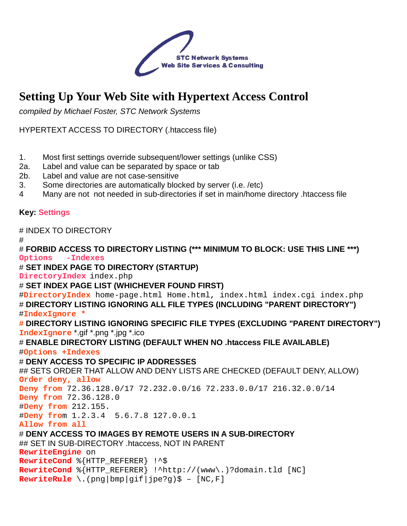

# **Setting Up Your Web Site with Hypertext Access Control**

compiled by Michael Foster, STC Network Systems

HYPERTEXT ACCESS TO DIRECTORY (.htaccess file)

- 1. Most first settings override subsequent/lower settings (unlike CSS)
- 2a. Label and value can be separated by space or tab
- 2b. Label and value are not case-sensitive
- 3. Some directories are automatically blocked by server (i.e. /etc)
- 4 Many are not not needed in sub-directories if set in main/home directory .htaccess file

#### **Key: Settings**

#### # INDEX TO DIRECTORY

#

# **FORBID ACCESS TO DIRECTORY LISTING (\*\*\* MINIMUM TO BLOCK: USE THIS LINE \*\*\*) Options -Indexes**  # **SET INDEX PAGE TO DIRECTORY (STARTUP) DirectoryIndex** index.php # **SET INDEX PAGE LIST (WHICHEVER FOUND FIRST)**  #**DirectoryIndex** home-page.html Home.html, index.html index.cgi index.php # **DIRECTORY LISTING IGNORING ALL FILE TYPES (INCLUDING "PARENT DIRECTORY")**  #**IndexIgnore \* # DIRECTORY LISTING IGNORING SPECIFIC FILE TYPES (EXCLUDING "PARENT DIRECTORY") IndexIgnore** \*.gif \*.png \*.jpg \*.ico # **ENABLE DIRECTORY LISTING (DEFAULT WHEN NO .htaccess FILE AVAILABLE)**  #**Options +Indexes**  # **DENY ACCESS TO SPECIFIC IP ADDRESSES**  ## SETS ORDER THAT ALLOW AND DENY LISTS ARE CHECKED (DEFAULT DENY, ALLOW) **Order deny, allow Deny from** 72.36.128.0/17 72.232.0.0/16 72.233.0.0/17 216.32.0.0/14 **Deny from** 72.36.128.0 #**Deny from** 212.155. #**Deny fro**m 1.2.3.4 5.6.7.8 127.0.0.1 **Allow from all**  # **DENY ACCESS TO IMAGES BY REMOTE USERS IN A SUB-DIRECTORY**  ## SET IN SUB-DIRECTORY .htaccess, NOT IN PARENT **RewriteEngine** on **RewriteCond** %{HTTP\_REFERER} !^\$ **RewriteCond** %{HTTP\_REFERER} !^http://(www\.)?domain.tld [NC] **RewriteRule** \.(png|bmp|gif|jpe?g)\$ – [NC,F]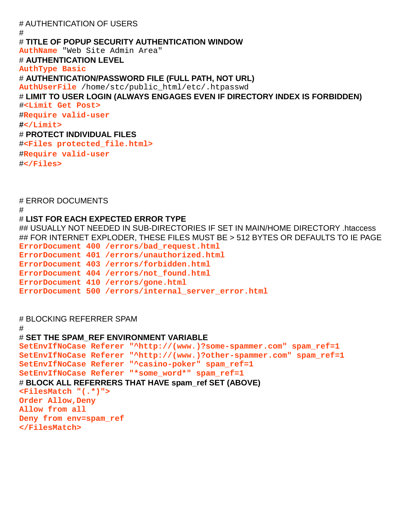# AUTHENTICATION OF USERS # # **TITLE OF POPUP SECURITY AUTHENTICATION WINDOW AuthName** "Web Site Admin Area" # **AUTHENTICATION LEVEL AuthType Basic**  # **AUTHENTICATION/PASSWORD FILE (FULL PATH, NOT URL) AuthUserFile** /home/stc/public\_html/etc/.htpasswd # **LIMIT TO USER LOGIN (ALWAYS ENGAGES EVEN IF DIRECTORY INDEX IS FORBIDDEN)**  #**<Limit Get Post>**  #**Require valid-user #</Limit>**  # **PROTECT INDIVIDUAL FILES**  #**<Files protected\_file.html>**  #**Require valid-user**  #**</Files>** 

# ERROR DOCUMENTS

#

#

#### # **LIST FOR EACH EXPECTED ERROR TYPE**

## USUALLY NOT NEEDED IN SUB-DIRECTORIES IF SET IN MAIN/HOME DIRECTORY .htaccess ## FOR INTERNET EXPLODER, THESE FILES MUST BE > 512 BYTES OR DEFAULTS TO IE PAGE

**ErrorDocument 400 /errors/bad\_request.html ErrorDocument 401 /errors/unauthorized.html ErrorDocument 403 /errors/forbidden.html** 

**ErrorDocument 404 /errors/not\_found.html** 

**ErrorDocument 410 /errors/gone.html** 

**ErrorDocument 500 /errors/internal\_server\_error.html** 

#### # BLOCKING REFERRER SPAM

## # **SET THE SPAM\_REF ENVIRONMENT VARIABLE SetEnvIfNoCase Referer "^http://(www.)?some-spammer.com" spam\_ref=1**

```
SetEnvIfNoCase Referer "^http://(www.)?other-spammer.com" spam_ref=1 
SetEnvIfNoCase Referer "^casino-poker" spam_ref=1 
SetEnvIfNoCase Referer "*some_word*" spam_ref=1 
# BLOCK ALL REFERRERS THAT HAVE spam_ref SET (ABOVE) 
<FilesMatch "(.*)"> 
Order Allow,Deny 
Allow from all 
Deny from env=spam_ref 
</FilesMatch>
```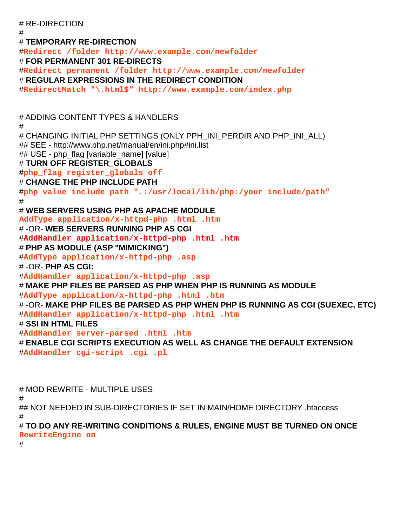# RE-DIRECTION # # **TEMPORARY RE-DIRECTION**  #**Redirect /folder http://www.example.com/newfolder**  # **FOR PERMANENT 301 RE-DIRECTS**  #**Redirect permanent /folder http://www.example.com/newfolder**  # **REGULAR EXPRESSIONS IN THE REDIRECT CONDITION**  #**RedirectMatch "\.html\$" http://www.example.com/index.php**  # ADDING CONTENT TYPES & HANDLERS # # CHANGING INITIAL PHP SETTINGS (ONLY PPH\_INI\_PERDIR AND PHP\_INI\_ALL) ## SEE - http://www.php.net/manual/en/ini.php#ini.list ## USE - php\_flag [variable\_name] [value] # **TURN OFF REGISTER\_GLOBALS #php\_flag register\_globals off**  # **CHANGE THE PHP INCLUDE PATH**  #**php\_value include\_path ".:/usr/local/lib/php:/your\_include/path"**  # # **WEB SERVERS USING PHP AS APACHE MODULE AddType application/x-httpd-php .html .htm**  # -OR- **WEB SERVERS RUNNING PHP AS CGI**  #**AddHandler application/x-httpd-php .html .htm** # **PHP AS MODULE (ASP "MIMICKING")**  #**AddType application/x-httpd-php .asp**  # -OR- **PHP AS CGI:**  #**AddHandler application/x-httpd-php .asp**  # **MAKE PHP FILES BE PARSED AS PHP WHEN PHP IS RUNNING AS MODULE**  #**AddType application/x-httpd-php .html .htm**  # -OR- **MAKE PHP FILES BE PARSED AS PHP WHEN PHP IS RUNNING AS CGI (SUEXEC, ETC)**  #**AddHandler application/x-httpd-php .html .htm**  # **SSI IN HTML FILES**  #**AddHandler server-parsed .html .htm**  # **ENABLE CGI SCRIPTS EXECUTION AS WELL AS CHANGE THE DEFAULT EXTENSION**  #**AddHandler cgi-script .cgi .pl** 

# MOD REWRITE - MULTIPLE USES # ## NOT NEEDED IN SUB-DIRECTORIES IF SET IN MAIN/HOME DIRECTORY .htaccess # # **TO DO ANY RE-WRITING CONDITIONS & RULES, ENGINE MUST BE TURNED ON ONCE RewriteEngine on** 

#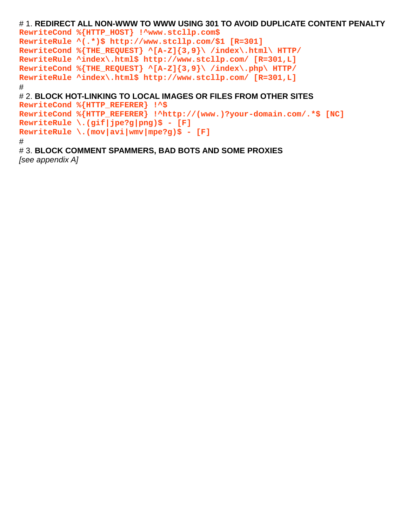```
# 1. REDIRECT ALL NON-WWW TO WWW USING 301 TO AVOID DUPLICATE CONTENT PENALTY 
RewriteCond %{HTTP_HOST} !^www.stcllp.com$ 
RewriteRule ^(.*)$ http://www.stcllp.com/$1 [R=301]
RewriteCond %{THE_REQUEST} ^[A-Z]{3,9}\ /index\.html\ HTTP/ 
RewriteRule ^index\.html$ http://www.stcllp.com/ [R=301,L] 
RewriteCond %{THE_REQUEST} ^[A-Z]{3,9}\ /index\.php\ HTTP/ 
RewriteRule ^index\.html$ http://www.stcllp.com/ [R=301,L] 
# 
# 2. BLOCK HOT-LINKING TO LOCAL IMAGES OR FILES FROM OTHER SITES 
RewriteCond %{HTTP_REFERER} !^$ 
RewriteCond %{HTTP_REFERER} !^http://(www.)?your-domain.com/.*$ [NC] 
RewriteRule \.(gif|jpe?g|png)$ - [F] 
RewriteRule \.(mov|avi|wmv|mpe?g)$ - [F] 
#
```
# 3. **BLOCK COMMENT SPAMMERS, BAD BOTS AND SOME PROXIES**  [see appendix A]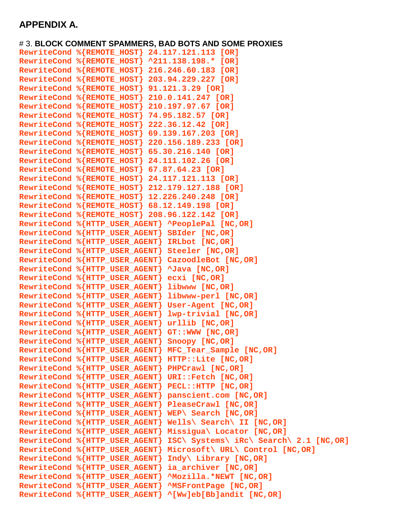### **APPENDIX A.**

# 3. **BLOCK COMMENT SPAMMERS, BAD BOTS AND SOME PROXIES RewriteCond %{REMOTE\_HOST} 24.117.121.113 [OR] RewriteCond %{REMOTE\_HOST} ^211.138.198.\* [OR] RewriteCond %{REMOTE\_HOST} 216.246.60.183 [OR] RewriteCond %{REMOTE\_HOST} 203.94.229.227 [OR] RewriteCond %{REMOTE\_HOST} 91.121.3.29 [OR] RewriteCond %{REMOTE\_HOST} 210.0.141.247 [OR] RewriteCond %{REMOTE\_HOST} 210.197.97.67 [OR] RewriteCond %{REMOTE\_HOST} 74.95.182.57 [OR] RewriteCond %{REMOTE\_HOST} 222.36.12.42 [OR] RewriteCond %{REMOTE\_HOST} 69.139.167.203 [OR] RewriteCond %{REMOTE\_HOST} 220.156.189.233 [OR] RewriteCond %{REMOTE\_HOST} 65.30.216.140 [OR] RewriteCond %{REMOTE\_HOST} 24.111.102.26 [OR] RewriteCond %{REMOTE\_HOST} 67.87.64.23 [OR] RewriteCond %{REMOTE\_HOST} 24.117.121.113 [OR] RewriteCond %{REMOTE\_HOST} 212.179.127.188 [OR] RewriteCond %{REMOTE\_HOST} 12.226.240.248 [OR] RewriteCond %{REMOTE\_HOST} 68.12.149.198 [OR] RewriteCond %{REMOTE\_HOST} 208.96.122.142 [OR] RewriteCond %{HTTP\_USER\_AGENT} ^PeoplePal [NC,OR] RewriteCond %{HTTP\_USER\_AGENT} SBIder [NC,OR] RewriteCond %{HTTP\_USER\_AGENT} IRLbot [NC,OR] RewriteCond %{HTTP\_USER\_AGENT} Steeler [NC,OR] RewriteCond %{HTTP\_USER\_AGENT} CazoodleBot [NC,OR] RewriteCond %{HTTP\_USER\_AGENT} ^Java [NC,OR] RewriteCond %{HTTP\_USER\_AGENT} ecxi [NC,OR] RewriteCond %{HTTP\_USER\_AGENT} libwww [NC,OR] RewriteCond %{HTTP\_USER\_AGENT} libwww-perl [NC,OR] RewriteCond %{HTTP\_USER\_AGENT} User-Agent [NC,OR] RewriteCond %{HTTP\_USER\_AGENT} lwp-trivial [NC,OR] RewriteCond %{HTTP\_USER\_AGENT} urllib [NC,OR] RewriteCond %{HTTP\_USER\_AGENT} GT::WWW [NC,OR] RewriteCond %{HTTP\_USER\_AGENT} Snoopy [NC,OR] RewriteCond %{HTTP\_USER\_AGENT} MFC\_Tear\_Sample [NC,OR] RewriteCond %{HTTP\_USER\_AGENT} HTTP::Lite [NC,OR] RewriteCond %{HTTP\_USER\_AGENT} PHPCrawl [NC,OR] RewriteCond %{HTTP\_USER\_AGENT} URI::Fetch [NC,OR] RewriteCond %{HTTP\_USER\_AGENT} PECL::HTTP [NC,OR] RewriteCond %{HTTP\_USER\_AGENT} panscient.com [NC,OR] RewriteCond %{HTTP\_USER\_AGENT} PleaseCrawl [NC,OR] RewriteCond %{HTTP\_USER\_AGENT} WEP\ Search [NC,OR] RewriteCond %{HTTP\_USER\_AGENT} Wells\ Search\ II [NC,OR] RewriteCond %{HTTP\_USER\_AGENT} Missigua\ Locator [NC,OR] RewriteCond %{HTTP\_USER\_AGENT} ISC\ Systems\ iRc\ Search\ 2.1 [NC,OR] RewriteCond %{HTTP\_USER\_AGENT} Microsoft\ URL\ Control [NC,OR] RewriteCond %{HTTP\_USER\_AGENT} Indy\ Library [NC,OR] RewriteCond %{HTTP\_USER\_AGENT} ia\_archiver [NC,OR] RewriteCond %{HTTP\_USER\_AGENT} ^Mozilla.\*NEWT [NC,OR] RewriteCond %{HTTP\_USER\_AGENT} ^MSFrontPage [NC,OR] RewriteCond %{HTTP\_USER\_AGENT} ^[Ww]eb[Bb]andit [NC,OR]**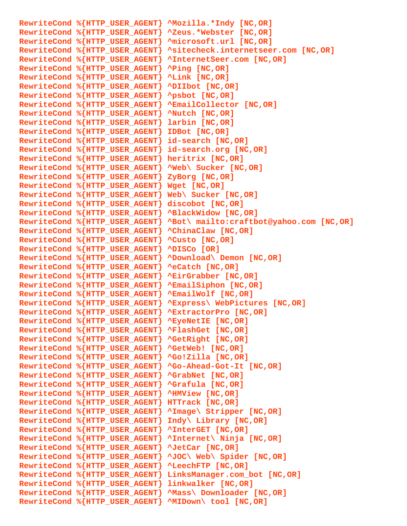**RewriteCond %{HTTP\_USER\_AGENT} ^Mozilla.\*Indy [NC,OR] RewriteCond %{HTTP\_USER\_AGENT} ^Zeus.\*Webster [NC,OR] RewriteCond %{HTTP\_USER\_AGENT} ^microsoft.url [NC,OR] RewriteCond %{HTTP\_USER\_AGENT} ^sitecheck.internetseer.com [NC,OR] RewriteCond %{HTTP\_USER\_AGENT} ^InternetSeer.com [NC,OR] RewriteCond %{HTTP\_USER\_AGENT} ^Ping [NC,OR] RewriteCond %{HTTP\_USER\_AGENT} ^Link [NC,OR] RewriteCond %{HTTP\_USER\_AGENT} ^DIIbot [NC,OR] RewriteCond %{HTTP\_USER\_AGENT} ^psbot [NC,OR] RewriteCond %{HTTP\_USER\_AGENT} ^EmailCollector [NC,OR] RewriteCond %{HTTP\_USER\_AGENT} ^Nutch [NC,OR] RewriteCond %{HTTP\_USER\_AGENT} larbin [NC,OR] RewriteCond %{HTTP\_USER\_AGENT} IDBot [NC,OR] RewriteCond %{HTTP\_USER\_AGENT} id-search [NC,OR] RewriteCond %{HTTP\_USER\_AGENT} id-search.org [NC,OR] RewriteCond %{HTTP\_USER\_AGENT} heritrix [NC,OR] RewriteCond %{HTTP\_USER\_AGENT} ^Web\ Sucker [NC,OR] RewriteCond %{HTTP\_USER\_AGENT} ZyBorg [NC,OR] RewriteCond %{HTTP\_USER\_AGENT} Wget [NC,OR] RewriteCond %{HTTP\_USER\_AGENT} Web\ Sucker [NC,OR] RewriteCond %{HTTP\_USER\_AGENT} discobot [NC,OR] RewriteCond %{HTTP\_USER\_AGENT} ^BlackWidow [NC,OR] RewriteCond %{HTTP\_USER\_AGENT} ^Bot\ mailto:craftbot@yahoo.com [NC,OR] RewriteCond %{HTTP\_USER\_AGENT} ^ChinaClaw [NC,OR] RewriteCond %{HTTP\_USER\_AGENT} ^Custo [NC,OR] RewriteCond %{HTTP\_USER\_AGENT} ^DISCo [OR] RewriteCond %{HTTP\_USER\_AGENT} ^Download\ Demon [NC,OR] RewriteCond %{HTTP\_USER\_AGENT} ^eCatch [NC,OR] RewriteCond %{HTTP\_USER\_AGENT} ^EirGrabber [NC,OR] RewriteCond %{HTTP\_USER\_AGENT} ^EmailSiphon [NC,OR] RewriteCond %{HTTP\_USER\_AGENT} ^EmailWolf [NC,OR] RewriteCond %{HTTP\_USER\_AGENT} ^Express\ WebPictures [NC,OR] RewriteCond %{HTTP\_USER\_AGENT} ^ExtractorPro [NC,OR] RewriteCond %{HTTP\_USER\_AGENT} ^EyeNetIE [NC,OR] RewriteCond %{HTTP\_USER\_AGENT} ^FlashGet [NC,OR] RewriteCond %{HTTP\_USER\_AGENT} ^GetRight [NC,OR] RewriteCond %{HTTP\_USER\_AGENT} ^GetWeb! [NC,OR] RewriteCond %{HTTP\_USER\_AGENT} ^Go!Zilla [NC,OR] RewriteCond %{HTTP\_USER\_AGENT} ^Go-Ahead-Got-It [NC,OR] RewriteCond %{HTTP\_USER\_AGENT} ^GrabNet [NC,OR] RewriteCond %{HTTP\_USER\_AGENT} ^Grafula [NC,OR] RewriteCond %{HTTP\_USER\_AGENT} ^HMView [NC,OR] RewriteCond %{HTTP\_USER\_AGENT} HTTrack [NC,OR] RewriteCond %{HTTP\_USER\_AGENT} ^Image\ Stripper [NC,OR] RewriteCond %{HTTP\_USER\_AGENT} Indy\ Library [NC,OR] RewriteCond %{HTTP\_USER\_AGENT} ^InterGET [NC,OR] RewriteCond %{HTTP\_USER\_AGENT} ^Internet\ Ninja [NC,OR] RewriteCond %{HTTP\_USER\_AGENT} ^JetCar [NC,OR] RewriteCond %{HTTP\_USER\_AGENT} ^JOC\ Web\ Spider [NC,OR] RewriteCond %{HTTP\_USER\_AGENT} ^LeechFTP [NC,OR] RewriteCond %{HTTP\_USER\_AGENT} LinksManager.com\_bot [NC,OR] RewriteCond %{HTTP\_USER\_AGENT} linkwalker [NC,OR] RewriteCond %{HTTP\_USER\_AGENT} ^Mass\ Downloader [NC,OR] RewriteCond %{HTTP\_USER\_AGENT} ^MIDown\ tool [NC,OR]**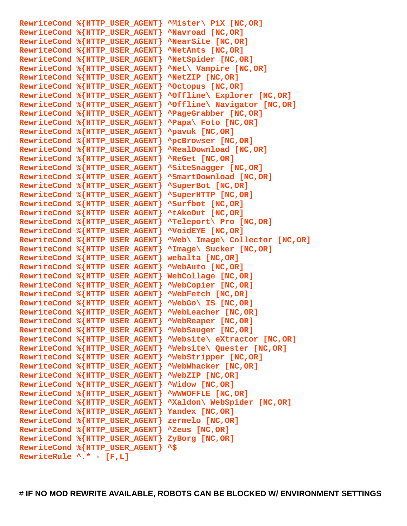**RewriteCond %{HTTP\_USER\_AGENT} ^Mister\ PiX [NC,OR] RewriteCond %{HTTP\_USER\_AGENT} ^Navroad [NC,OR] RewriteCond %{HTTP\_USER\_AGENT} ^NearSite [NC,OR] RewriteCond %{HTTP\_USER\_AGENT} ^NetAnts [NC,OR] RewriteCond %{HTTP\_USER\_AGENT} ^NetSpider [NC,OR] RewriteCond %{HTTP\_USER\_AGENT} ^Net\ Vampire [NC,OR] RewriteCond %{HTTP\_USER\_AGENT} ^NetZIP [NC,OR] RewriteCond %{HTTP\_USER\_AGENT} ^Octopus [NC,OR] RewriteCond %{HTTP\_USER\_AGENT} ^Offline\ Explorer [NC,OR] RewriteCond %{HTTP\_USER\_AGENT} ^Offline\ Navigator [NC,OR] RewriteCond %{HTTP\_USER\_AGENT} ^PageGrabber [NC,OR] RewriteCond %{HTTP\_USER\_AGENT} ^Papa\ Foto [NC,OR] RewriteCond %{HTTP\_USER\_AGENT} ^pavuk [NC,OR] RewriteCond %{HTTP\_USER\_AGENT} ^pcBrowser [NC,OR] RewriteCond %{HTTP\_USER\_AGENT} ^RealDownload [NC,OR] RewriteCond %{HTTP\_USER\_AGENT} ^ReGet [NC,OR] RewriteCond %{HTTP\_USER\_AGENT} ^SiteSnagger [NC,OR] RewriteCond %{HTTP\_USER\_AGENT} ^SmartDownload [NC,OR] RewriteCond %{HTTP\_USER\_AGENT} ^SuperBot [NC,OR] RewriteCond %{HTTP\_USER\_AGENT} ^SuperHTTP [NC,OR] RewriteCond %{HTTP\_USER\_AGENT} ^Surfbot [NC,OR] RewriteCond %{HTTP\_USER\_AGENT} ^tAkeOut [NC,OR] RewriteCond %{HTTP\_USER\_AGENT} ^Teleport\ Pro [NC,OR] RewriteCond %{HTTP\_USER\_AGENT} ^VoidEYE [NC,OR] RewriteCond %{HTTP\_USER\_AGENT} ^Web\ Image\ Collector [NC,OR] RewriteCond %{HTTP\_USER\_AGENT} ^Image\ Sucker [NC,OR] RewriteCond %{HTTP\_USER\_AGENT} webalta [NC,OR] RewriteCond %{HTTP\_USER\_AGENT} ^WebAuto [NC,OR] RewriteCond %{HTTP\_USER\_AGENT} WebCollage [NC,OR] RewriteCond %{HTTP\_USER\_AGENT} ^WebCopier [NC,OR] RewriteCond %{HTTP\_USER\_AGENT} ^WebFetch [NC,OR] RewriteCond %{HTTP\_USER\_AGENT} ^WebGo\ IS [NC,OR] RewriteCond %{HTTP\_USER\_AGENT} ^WebLeacher [NC,OR] RewriteCond %{HTTP\_USER\_AGENT} ^WebReaper [NC,OR] RewriteCond %{HTTP\_USER\_AGENT} ^WebSauger [NC,OR] RewriteCond %{HTTP\_USER\_AGENT} ^Website\ eXtractor [NC,OR] RewriteCond %{HTTP\_USER\_AGENT} ^Website\ Quester [NC,OR] RewriteCond %{HTTP\_USER\_AGENT} ^WebStripper [NC,OR] RewriteCond %{HTTP\_USER\_AGENT} ^WebWhacker [NC,OR] RewriteCond %{HTTP\_USER\_AGENT} ^WebZIP [NC,OR] RewriteCond %{HTTP\_USER\_AGENT} ^Widow [NC,OR] RewriteCond %{HTTP\_USER\_AGENT} ^WWWOFFLE [NC,OR] RewriteCond %{HTTP\_USER\_AGENT} ^Xaldon\ WebSpider [NC,OR] RewriteCond %{HTTP\_USER\_AGENT} Yandex [NC,OR] RewriteCond %{HTTP\_USER\_AGENT} zermelo [NC,OR] RewriteCond %{HTTP\_USER\_AGENT} ^Zeus [NC,OR] RewriteCond %{HTTP\_USER\_AGENT} ZyBorg [NC,OR] RewriteCond %{HTTP\_USER\_AGENT} ^\$ RewriteRule ^.\* - [F,L]**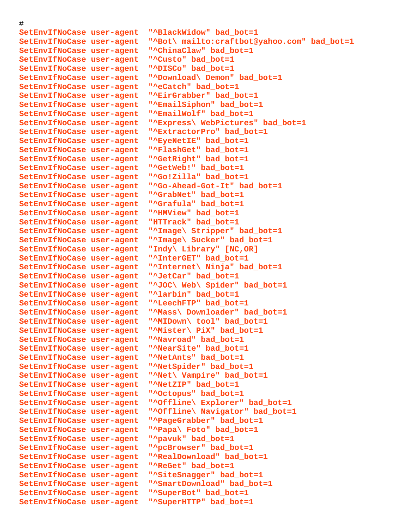#### #

**SetEnvIfNoCase user-agent "^BlackWidow" bad\_bot=1 SetEnvIfNoCase user-agent "^Bot\ mailto:craftbot@yahoo.com" bad\_bot=1 SetEnvIfNoCase user-agent "^ChinaClaw" bad\_bot=1 SetEnvIfNoCase user-agent "^Custo" bad\_bot=1 SetEnvIfNoCase user-agent "^DISCo" bad\_bot=1 SetEnvIfNoCase user-agent "^Download\ Demon" bad\_bot=1 SetEnvIfNoCase user-agent "^eCatch" bad\_bot=1 SetEnvIfNoCase user-agent "^EirGrabber" bad\_bot=1 SetEnvIfNoCase user-agent "^EmailSiphon" bad\_bot=1 SetEnvIfNoCase user-agent "^EmailWolf" bad\_bot=1 SetEnvIfNoCase user-agent "^Express\ WebPictures" bad\_bot=1 SetEnvIfNoCase user-agent "^ExtractorPro" bad\_bot=1 SetEnvIfNoCase user-agent "^EyeNetIE" bad\_bot=1 SetEnvIfNoCase user-agent "^FlashGet" bad\_bot=1 SetEnvIfNoCase user-agent "^GetRight" bad\_bot=1 SetEnvIfNoCase user-agent "^GetWeb!" bad\_bot=1 SetEnvIfNoCase user-agent "^Go!Zilla" bad\_bot=1 SetEnvIfNoCase user-agent "^Go-Ahead-Got-It" bad\_bot=1 SetEnvIfNoCase user-agent "^GrabNet" bad\_bot=1 SetEnvIfNoCase user-agent "^Grafula" bad\_bot=1 SetEnvIfNoCase user-agent "^HMView" bad\_bot=1 SetEnvIfNoCase user-agent "HTTrack" bad\_bot=1 SetEnvIfNoCase user-agent "^Image\ Stripper" bad\_bot=1 SetEnvIfNoCase user-agent "^Image\ Sucker" bad\_bot=1 SetEnvIfNoCase user-agent "Indy\ Library" [NC,OR] SetEnvIfNoCase user-agent "^InterGET" bad\_bot=1 SetEnvIfNoCase user-agent "^Internet\ Ninja" bad\_bot=1 SetEnvIfNoCase user-agent "^JetCar" bad\_bot=1 SetEnvIfNoCase user-agent "^JOC\ Web\ Spider" bad\_bot=1 SetEnvIfNoCase user-agent "^larbin" bad\_bot=1 SetEnvIfNoCase user-agent "^LeechFTP" bad\_bot=1 SetEnvIfNoCase user-agent "^Mass\ Downloader" bad\_bot=1 SetEnvIfNoCase user-agent "^MIDown\ tool" bad\_bot=1 SetEnvIfNoCase user-agent "^Mister\ PiX" bad\_bot=1 SetEnvIfNoCase user-agent "^Navroad" bad\_bot=1 SetEnvIfNoCase user-agent "^NearSite" bad\_bot=1 SetEnvIfNoCase user-agent "^NetAnts" bad\_bot=1 SetEnvIfNoCase user-agent "^NetSpider" bad\_bot=1 SetEnvIfNoCase user-agent "^Net\ Vampire" bad\_bot=1 SetEnvIfNoCase user-agent "^NetZIP" bad\_bot=1 SetEnvIfNoCase user-agent "^Octopus" bad\_bot=1 SetEnvIfNoCase user-agent "^Offline\ Explorer" bad\_bot=1 SetEnvIfNoCase user-agent "^Offline\ Navigator" bad\_bot=1 SetEnvIfNoCase user-agent "^PageGrabber" bad\_bot=1 SetEnvIfNoCase user-agent "^Papa\ Foto" bad\_bot=1 SetEnvIfNoCase user-agent "^pavuk" bad\_bot=1 SetEnvIfNoCase user-agent "^pcBrowser" bad\_bot=1 SetEnvIfNoCase user-agent "^RealDownload" bad\_bot=1 SetEnvIfNoCase user-agent "^ReGet" bad\_bot=1 SetEnvIfNoCase user-agent "^SiteSnagger" bad\_bot=1 SetEnvIfNoCase user-agent "^SmartDownload" bad\_bot=1 SetEnvIfNoCase user-agent "^SuperBot" bad\_bot=1 SetEnvIfNoCase user-agent "^SuperHTTP" bad\_bot=1**